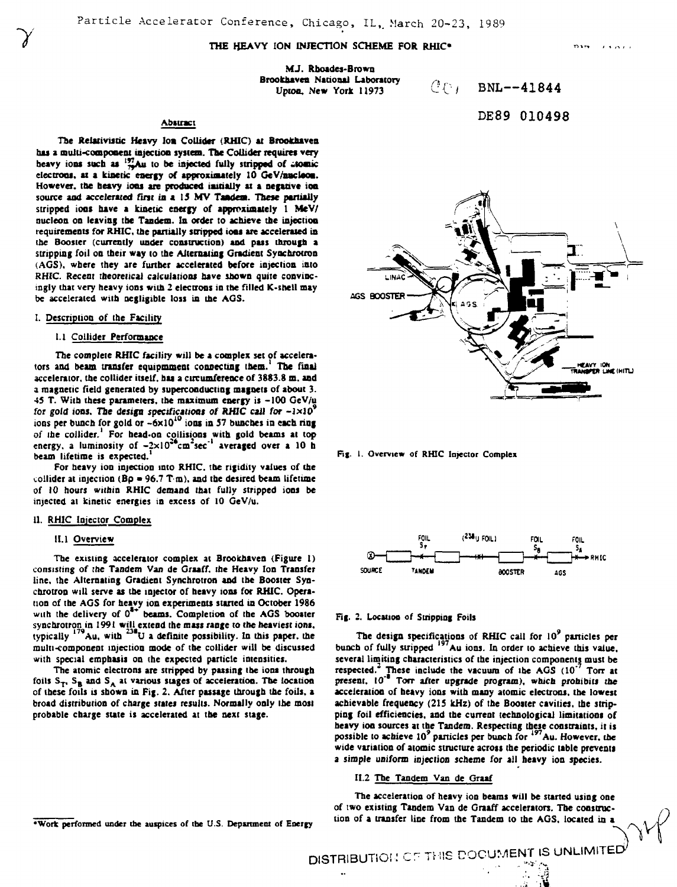# **THE HEAVY ION INJECTION SCHEME FOR RHIC\***

**MJ. Rboades-Brown Brookhaven National Laboratory .-, Upton. New York 11973** 

BNL--41844

DE89 010498

# **Abstract**

The Relativistic Heavy Ion Collider (RHIC) at Brookhaven **has a multi-component injection system. The Collider requires very** heavy ions such as  $^{197}_{79}$ Au to be injected fully stripped of atomic **electrons, at a kinetic energy of approximately 10 GeV/nacleoa. However, toe heavy ions are produced initially at a negative ion source and accelerated first in a 13 MV Taadea. These partially stripped ions have a kinetic energy of approximately 1 MeV/ nucleon on leaving the Tandem. In order to achieve the injection requirements for RHIC. the partially stripped ioos are accelerated in the Booster (currently under construction) and pus through a stripping foil on their way to the Alternating Gradient Synchrotron (AGS). where they are further accelerated before injection into RHIC. Recent theoretical calculations have shown quite convincingly that very heavy ions with 2 electrons in the filled K-shell may be accelerated with negligible loss in the AGS.**

### **I. Description of the Facility**

**7**

### **1.1 Collider Performance**

**The complete RHIC facility will be a complex set of accelerators and beam transfer equipmment connecting them.' The final accelerator, the collider itself, has a circumference of 3883.8 m. and a magnetic field generated by superconducting magnets of about 3. 45 T. With these parameters, the maximum energy is -100 GeV/u for gold ions. The design specifications of RHIC call for -ixlO <sup>9</sup> IOQS per bunch for gold or -6xlO<sup>1</sup> <sup>0</sup> ions in 57 bunches in each ring** *oi* **the collider.' For head-on collisions with gold beams at top energy, a luminosity of -2xl0\*\*cm: sec"' averaged over a 10 b beam lifetime is expected.<sup>1</sup>**

**For heavy ion injection into RHIC. the rigidity values of the** collider at injection  $(Bp = 96.7 T \cdot m)$ , and the desired beam lifetime **of 10 hours within RHIC demand (hat fully stripped ions be injected at kinetic energies in excess of 10 GeV/u.**

### **II. RHIC Injector Complex**

#### **II. 1 Overview**

**The existing accelerator complex at Brookhaven (Figure 1) consisting of the Tandem Van de Graaff. the Heavy Ion Transfer line, the Alternating Gradient Synchrotron and the Booster Synchrotron will serve as the injector of heavy ions for RHIC. Operation of the AGS for heavy ion experiments started in October 1986** with the delivery of 0<sup>\*\*</sup> beams. Completion of the AGS booster **synchrotron in 1991 will extend the mass range to the heaviest ions, typically <sup>179</sup>Au, with al U a definite possibility. In this paper, the multi-component injection mode of the collider will be discussed with special emphasis on (he expected particle intensities.**

**The atomic electrons are stripped by passing the iont through foils S-p SB and S <sup>A</sup> at various stages of acceleration. The location of these foils is shown in Fig. 2. After passage through the foils, a broad distribution of charge states results. Normally only the most probable charge state is accelerated at the next stage.**



**fig. 1. Overview of RHIC Injector Complex**



#### **Fig. 2. Location of Stripping Foils**

**The design specifications of RHIC call for 10<sup>9</sup> panicles per bunch of fully stripped <sup>197</sup>Au ions. In order to achieve this value, several limiting characteristics of the injection components must be respected.<sup>1</sup> These include the vacuum of the AGS (10'<sup>7</sup> Ton at present. 10"' Ton- after upgrade program), which prohibiu the acceleration of heavy ions with many atomic electrons, the lowest achievable frequency (215 kHz) of the Booster cavities, the stripping foil efficiencies, and the current technological limitations of heavy ion sources at the Tandem. Respecting these constraints, it is possible to achieve 10\* panicles per bunch for <sup>197</sup>Au. However, the wide variation of atomic structure across (he periodic table prevents a simple uniform injection scheme for all heavy ion species.**

# **II.2 The Tandem Van de Graaf**

**The acceleration of heavy ion beams will be started using one of two existing Tandem Van de Graaff accelerators. The construction of a transfer line from the Tandem to the AGS, located in a**

**'Work performed under the auspices of ibe U.S. Department of Energy**

 $D$ ISTRIBUTION OF THIS DOCUMENT IS UNLIMITED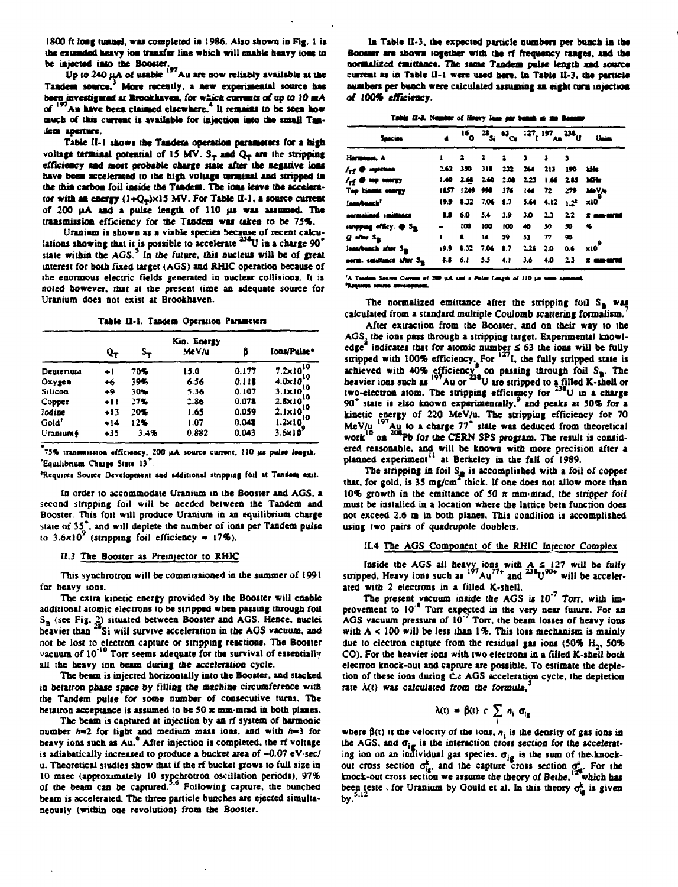1800 ft long tunnel, was completed in 1986. Also shown in Fig. 1 is the extended heavy ion transfer line which will enable heavy ions to **be injected into the Booster.**

Up to 240 µA of usable <sup>197</sup>Au are now reliably available at the **Tandesi soorce.<sup>3</sup> More recently, a new experimental source has** been investigated at Brookhaven, for which currents of up to 10 mA **of** *'* **An have been clainted elsewhere.<sup>4</sup> It remains to be seen how** much of this current is available for injection into the small Tan**dem apermre.**

Table II-1 shows the Tandera operation parameters for a high voltage terminal potential of 15 MV.  $S_T$  and  $Q_T$  are the stripping **efficiency aad ssoft probable charge state after the negative ions nave been accelerated to the high voltage terminal and stripped in the thin carbon foil inside the Tandem. The ions leave the accelerator with an energy (1+Q<sup>r</sup> )xl3 MV. For Table D-l, a source current** of 200  $\mu$ A and a pulse length of 110  $\mu$ s was assumed. The **transmission efficiency for the Tandem was taken to be 75%.**

**Uranium is shown as a viable species because of recent calcu**lations showing that it is possible to accelerate <sup>238</sup>U in a charge 90<sup>\*</sup> state within the AGS.<sup>3</sup> In the future, this nucleus will be of great **interest for both fixed target (AGS) and RHIC operation because of the enormous electric fields generated in nuclear collisions. It is noted however, that at the present time an adequate source for Uranium does not exist at Brookhaven.**

Table II-1. Tandem Operation Parameters

|                   | Q <sub>T</sub> | s.,  | Kin. Energy<br>Me V/u | B     | lons/Puise*          |  |
|-------------------|----------------|------|-----------------------|-------|----------------------|--|
| Deutenum          | ÷i             | 70%  | 15.0                  | 0.177 | $7.2 \times 10^{10}$ |  |
| Oxygen            | $+6$           | 39%  | 6.56                  | 0.118 | $4.0 \times 10^{10}$ |  |
| Silicon           | +9             | 30%  | 5.36                  | 0.107 | $3.1 \times 10^{10}$ |  |
| Copper            | +11            | 27%  | 2.86                  | 0.078 | $2.8 \times 10^{10}$ |  |
| Iodine            | +13            | 20%  | 1.65                  | 0.059 | $2.1 \times 10^{10}$ |  |
| Gold <sup>*</sup> | $+14$          | 12%  | 1.07                  | 0.048 | $1.2 \times 10^{10}$ |  |
| Uranium §         | +35            | 3.4% | 0.882                 | 0.043 | 3.6x10               |  |

**?S% traniaiiMioa afflciracy, ZOO HA souro cuiTWit.** *110 tit* **puiM IM|U).** 'Equilibrium Charge State 13<sup>\*</sup>.

<sup>1</sup>Requires Source Development and additional stripping foil at Tandom exit.

**In order to accommodate Uranium in the Booster and AGS. a second stripping foil will be needed between ihe Tandem and Booster. This foil will produce Uranium in an equilibrium charge state of 35\*. and will deplete the number of ions per Tandem pulse to 3.6x10\* (stripping foil efficiency • 17%).**

### *11.3* **The Booster** *u* **Preinjector to RHIC**

**This synchrotron will be commissioned in the summer of 1991 for heavy ions.**

**The extra kinetic energy provided by the Booster will enable additional atomic electrons to be stripped when passing through foil SB (see Fig.** *Q* **situated between Booster and AGS. Hence, nuclei** heavier than <sup>26</sup>Si will survive acceleration in the AGS vacuum, and **not be lost to electron capture or stripping reactions. The Booster vacuum of 10"'° Torr seems adequate for the survival of essentially all the heavy ion beam during the acceleration cycle.**

**The beam is injected horizontally into the Booster, and stacked in betatron phase space by filling the machine circumference with the Tandem pulse for some number of consecutive turns. The betatron acceptance is assumed to be 50 it mm-mrad in both planes.**

**The beam is captured at injection by an rf system of harmonic** number h=2 for light and medium mass ions, and with h=3 for **heavy ions such as Au.\* After injection is completed, the rf voltage is adiabatically increased to produce a bucket area** *of* **-0.07 eV-sec/ u. Theoretical studies show that if the rf bucket grows to full size in 10 msec (approximately 10 synchrotron oscillation periods). 97% of the beam can be captured.<sup>5</sup> ' 6 Following capture, the bunched beam is accelerated. The three particle bunches are ejected simultaneously (within one revolution) from the Booster.**

**In Table II-3. the expected panicle numbers per bunch in the** Booster are shown together with the rf frequency ranges, and the **normalized eau nance. The same Tandem palae length and source** current as in Table II-1 were used here. In Table II-3, the particle **numbers per buach were calculated assuming an eight mm injection of 100% efficiency.**

| Table II-3. Nember of Hoovy June per bunch in the Bonemy |
|----------------------------------------------------------|
|----------------------------------------------------------|

| Seecies                                  |  |                      |  |                                                              | $^{16}$ <sup>28</sup> <sub>Si</sub> $^{43}$ <sub>Ci</sub> $^{127}$ <sub>1</sub> $^{197}$ <sub>An</sub> $^{236}$ U Unim |
|------------------------------------------|--|----------------------|--|--------------------------------------------------------------|------------------------------------------------------------------------------------------------------------------------|
| Harmonse, A                              |  | 1 2 2 2 3 3 3        |  |                                                              |                                                                                                                        |
| / <sub>rf</sub> @ mprison                |  |                      |  | 2.62 350 318 232 264 213 190 kHz                             |                                                                                                                        |
| $\mathcal{H}_{\mathbf{f}}$ or the energy |  |                      |  | 1.40 2.68 2.60 2.00 2.23 1.66 2.85 Miles                     |                                                                                                                        |
| Top kinner energy                        |  |                      |  |                                                              | 1857 1249 998 376 144 72 279 MaV/a                                                                                     |
| lana/banch <sup>?</sup>                  |  |                      |  | 19.9 1.32 7.06 1.7 5.64 4.12 $1.2^4$ x10 <sup>2</sup>        |                                                                                                                        |
| normalized smittence                     |  |                      |  |                                                              | 8.8 6.0 5.4 3.9 3.0 2.3 2.2 x maximum                                                                                  |
| stripping officy. @ S <sub>m</sub>       |  |                      |  | - 100 100 100 40 50 50 %                                     |                                                                                                                        |
| $Q$ after $S_{\rm IR}$                   |  | $1$ 8 14 29 53 77 90 |  |                                                              |                                                                                                                        |
| leas/bunch after S <sub>m</sub>          |  |                      |  | $(9.9 \t 8.32 \t 7.06 \t 8.7 \t 2.26 \t 2.0 \t 0.6 \t x10^9$ |                                                                                                                        |
| norm. emiliance afor S <sub>m</sub>      |  |                      |  |                                                              | 8.8 6.1 5.5 4.1 3.6 4.0 2.3 x maximum                                                                                  |

A Tandom Source Current of 200 µA and a Polar Longth of 110 µa ware **Resume source develop** 

**The normalized emittance after the stripping foil SB was calculated from a standard multiple Coulomb scattering formalism.**

**After extraction from the Booster, and on their way to the AGS. the ions pass through a stripping target. Experimental knowledge indicates that for atomic number £ 63 the ions will be fully** stripped with 100% efficiency. For <sup>127</sup>I, the fully stripped state is **achieved with 40% efficiency\* on pasting through foil SB. The** heavier ions such as <sup>197</sup>Au or <sup>238</sup>U are stripped to a filled K-shell or two-electron atom. The stripping efficiency for <sup>238</sup>U in a charge **90\* state is also known experimentally,<sup>9</sup> and peaks at 50% for a kinetic energy of 220 MeV/u. The stripping efficiency for 70 MeV/u l97Au to a charge 77\* state was deduced from theoretical** work<sup>10</sup> on <sup>206</sup>Pb for the CERN SPS program. The result is consid**ered reasonable, and will be known with more precision after a planned experiment" at Berkeley in the fall of 1989.**

The stripping in foil S<sub>in</sub> is accomplished with a foil of copper that, for gold, is 35 mg/cm<sup>-r</sup>thick. If one does not allow more than **10% growth in the emittance of 50 re mm-mrad, (be stripper foil must be installed in a location where the lattice beta function does not exceed 2.6 m in both planes. This condition is accomplished using two pairs of quadrupole doublets.**

## **II.4 The AGS Component of the RHIC Injector Complex**

**Inside the AGS all heavy ions with A S 127 will be fully** stripped. Heavy ions such as  $197\text{Au}^{77+}$  and  $23\text{FU}^{90+}$  will be acceler**ated with 2 electrons in a filled K-shell.**

**The present vacuum inside the AGS is 10'<sup>7</sup> Torr. wiin improvement to 10'\* Torr expected in the very near future. For an AGS vacuum pressure of 10' Ton, the beam losses of heavy ions with A < 100 will be less than 1%. This loss mechanism is mainly due to electron capture from the residual gas ions (50% H2, 50% CO). For the heavier ions with two electrons in a filled K-shell both electron knock-out and capture are possible. To estimate the depletion of these ions during** *Ct* **AGS acceleration cycle, the depletion rate** *Xxi)* **was calculated from the formula,<sup>3</sup>**

$$
V(t) = \beta(t) c \sum_{i} n_i \sigma_{ig}
$$

where  $\beta(t)$  is the velocity of the ions,  $n_j$  is the density of gas ions in **the AGS, and Oig is the interaction cross section for (he accelerat**ing ion on an individual gas species.  $\sigma_{ig}$  is the sum of the knock**out cross section ofg, and the capture cross section q?. For the knock-out cross section we assume the theory of Berne, which has** been teste, for Uranium by Gould et al. In this theory  $\sigma_{iq}^k$  is given **by.**